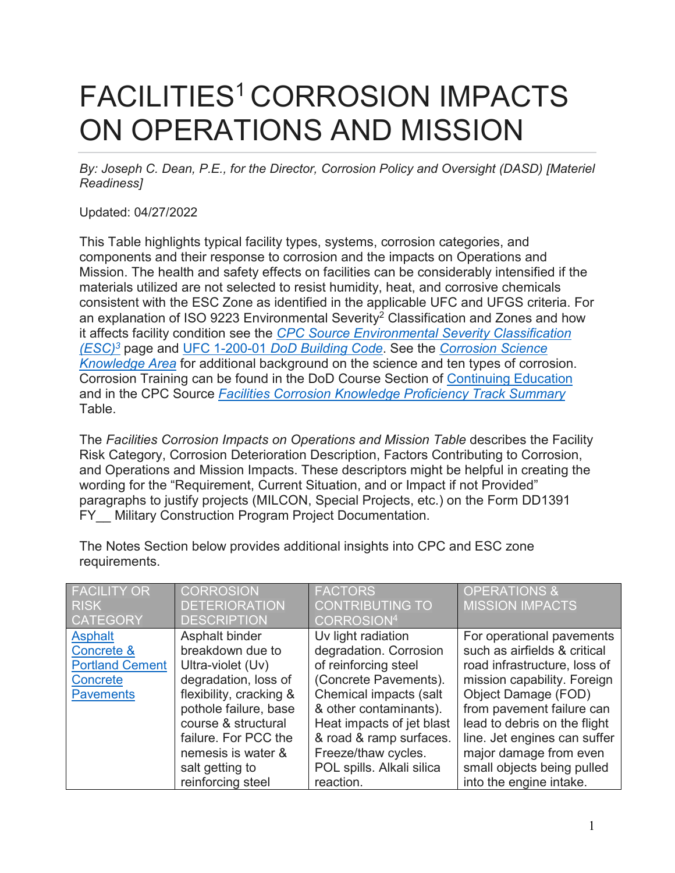## FACILITIES<sup>1</sup> CORROSION IMPACTS ON OPERATIONS AND MISSION

*By: Joseph C. Dean, P.E., for the Director, Corrosion Policy and Oversight (DASD) [Materiel Readiness]* 

Updated: 04/27/2022

This Table highlights typical facility types, systems, corrosion categories, and components and their response to corrosion and the impacts on Operations and Mission. The health and safety effects on facilities can be considerably intensified if the materials utilized are not selected to resist humidity, heat, and corrosive chemicals consistent with the ESC Zone as identified in the applicable UFC and UFGS criteria. For an explanation of ISO 9223 Environmental Severity<sup>2</sup> Classification and Zones and how it affects facility condition see the *[CPC Source Environmental Severity Classification](https://www.wbdg.org/ffc/dod/cpc-source/environmental-severity-classification)  [\(ESC\)3](https://www.wbdg.org/ffc/dod/cpc-source/environmental-severity-classification)* page and UFC 1-200-01 *[DoD Building Code](https://www.wbdg.org/ffc/dod/unified-facilities-criteria-ufc/ufc-1-200-01)*. See the *[Corrosion Science](https://www.wbdg.org/ffc/dod/cpc-source/corrosion-science-knowledge-area)  [Knowledge Area](https://www.wbdg.org/ffc/dod/cpc-source/corrosion-science-knowledge-area)* for additional background on the science and ten types of corrosion. Corrosion Training can be found in the DoD Course Section of [Continuing Education](https://www.wbdg.org/continuing-education?field_ed_sponsor_value_selective=DOD&field_topics_tid_selective=All) and in the CPC Source *[Facilities Corrosion Knowledge Proficiency Track Summary](https://www.wbdg.org/files/pdfs/facilities_corrosion_training_table_march22_v10.pdf)* Table.

The *Facilities Corrosion Impacts on Operations and Mission Table* describes the Facility Risk Category, Corrosion Deterioration Description, Factors Contributing to Corrosion, and Operations and Mission Impacts. These descriptors might be helpful in creating the wording for the "Requirement, Current Situation, and or Impact if not Provided" paragraphs to justify projects (MILCON, Special Projects, etc.) on the Form DD1391 FY Military Construction Program Project Documentation.

| <b>FACILITY OR</b><br><b>RISK</b>                                               | <b>CORROSION</b><br><b>DETERIORATION</b>                                                                                                                                                                                    | <b>FACTORS</b><br><b>CONTRIBUTING TO</b>                                                                                                                                                                                                                      | <b>OPERATIONS &amp;</b><br><b>MISSION IMPACTS</b>                                                                                                                                                                                                                                                    |
|---------------------------------------------------------------------------------|-----------------------------------------------------------------------------------------------------------------------------------------------------------------------------------------------------------------------------|---------------------------------------------------------------------------------------------------------------------------------------------------------------------------------------------------------------------------------------------------------------|------------------------------------------------------------------------------------------------------------------------------------------------------------------------------------------------------------------------------------------------------------------------------------------------------|
| <b>CATEGORY</b>                                                                 | <b>DESCRIPTION</b>                                                                                                                                                                                                          | CORROSION <sup>4</sup>                                                                                                                                                                                                                                        |                                                                                                                                                                                                                                                                                                      |
| Asphalt<br>Concrete &<br><b>Portland Cement</b><br>Concrete<br><b>Pavements</b> | Asphalt binder<br>breakdown due to<br>Ultra-violet (Uv)<br>degradation, loss of<br>flexibility, cracking &<br>pothole failure, base<br>course & structural<br>failure. For PCC the<br>nemesis is water &<br>salt getting to | Uv light radiation<br>degradation. Corrosion<br>of reinforcing steel<br>(Concrete Pavements).<br>Chemical impacts (salt<br>& other contaminants).<br>Heat impacts of jet blast<br>& road & ramp surfaces.<br>Freeze/thaw cycles.<br>POL spills. Alkali silica | For operational pavements<br>such as airfields & critical<br>road infrastructure, loss of<br>mission capability. Foreign<br>Object Damage (FOD)<br>from pavement failure can<br>lead to debris on the flight<br>line. Jet engines can suffer<br>major damage from even<br>small objects being pulled |
|                                                                                 | reinforcing steel                                                                                                                                                                                                           | reaction.                                                                                                                                                                                                                                                     | into the engine intake.                                                                                                                                                                                                                                                                              |

The Notes Section below provides additional insights into CPC and ESC zone requirements.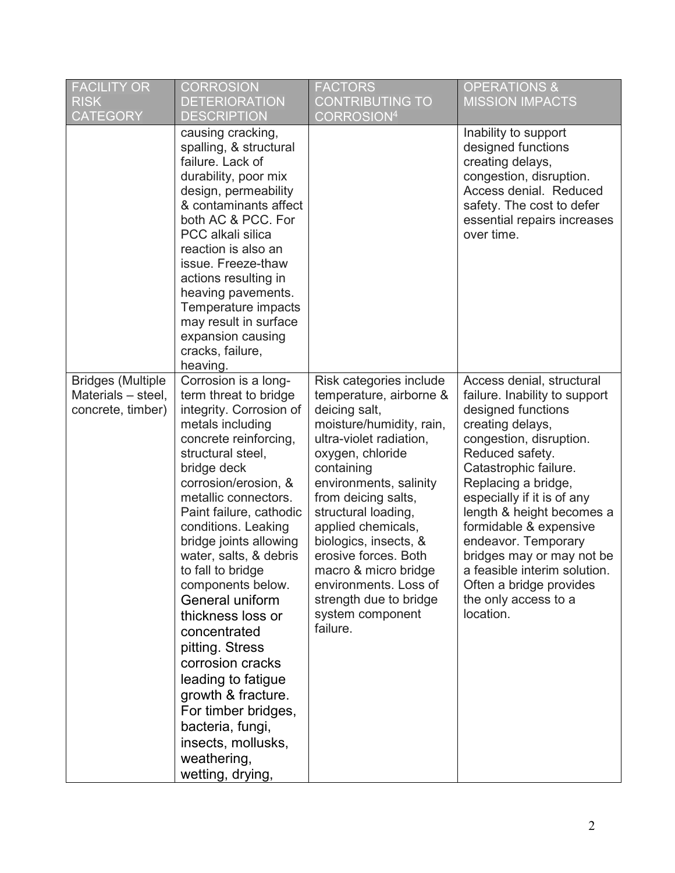| <b>FACILITY OR</b><br><b>RISK</b><br><b>CATEGORY</b>                | <b>CORROSION</b><br><b>DETERIORATION</b><br><b>DESCRIPTION</b>                                                                                                                                                                                                                                                                                                                                                                                                                                                                                                                                           | <b>FACTORS</b><br><b>CONTRIBUTING TO</b><br>CORROSION <sup>4</sup>                                                                                                                                                                                                                                                                                                                                                     | <b>OPERATIONS &amp;</b><br><b>MISSION IMPACTS</b>                                                                                                                                                                                                                                                                                                                                                                                          |
|---------------------------------------------------------------------|----------------------------------------------------------------------------------------------------------------------------------------------------------------------------------------------------------------------------------------------------------------------------------------------------------------------------------------------------------------------------------------------------------------------------------------------------------------------------------------------------------------------------------------------------------------------------------------------------------|------------------------------------------------------------------------------------------------------------------------------------------------------------------------------------------------------------------------------------------------------------------------------------------------------------------------------------------------------------------------------------------------------------------------|--------------------------------------------------------------------------------------------------------------------------------------------------------------------------------------------------------------------------------------------------------------------------------------------------------------------------------------------------------------------------------------------------------------------------------------------|
|                                                                     | causing cracking,<br>spalling, & structural<br>failure. Lack of<br>durability, poor mix<br>design, permeability<br>& contaminants affect<br>both AC & PCC. For<br>PCC alkali silica<br>reaction is also an<br>issue. Freeze-thaw<br>actions resulting in<br>heaving pavements.<br>Temperature impacts<br>may result in surface<br>expansion causing<br>cracks, failure,<br>heaving.                                                                                                                                                                                                                      |                                                                                                                                                                                                                                                                                                                                                                                                                        | Inability to support<br>designed functions<br>creating delays,<br>congestion, disruption.<br>Access denial. Reduced<br>safety. The cost to defer<br>essential repairs increases<br>over time.                                                                                                                                                                                                                                              |
| <b>Bridges (Multiple</b><br>Materials - steel,<br>concrete, timber) | Corrosion is a long-<br>term threat to bridge<br>integrity. Corrosion of<br>metals including<br>concrete reinforcing,<br>structural steel,<br>bridge deck<br>corrosion/erosion, &<br>metallic connectors.<br>Paint failure, cathodic<br>conditions. Leaking<br>bridge joints allowing<br>water, salts, & debris<br>to fall to bridge<br>components below.<br>General uniform<br>thickness loss or<br>concentrated<br>pitting. Stress<br>corrosion cracks<br>leading to fatigue<br>growth & fracture.<br>For timber bridges,<br>bacteria, fungi,<br>insects, mollusks,<br>weathering,<br>wetting, drying, | Risk categories include<br>temperature, airborne &<br>deicing salt,<br>moisture/humidity, rain,<br>ultra-violet radiation,<br>oxygen, chloride<br>containing<br>environments, salinity<br>from deicing salts,<br>structural loading,<br>applied chemicals,<br>biologics, insects, &<br>erosive forces. Both<br>macro & micro bridge<br>environments. Loss of<br>strength due to bridge<br>system component<br>failure. | Access denial, structural<br>failure. Inability to support<br>designed functions<br>creating delays,<br>congestion, disruption.<br>Reduced safety.<br>Catastrophic failure.<br>Replacing a bridge,<br>especially if it is of any<br>length & height becomes a<br>formidable & expensive<br>endeavor. Temporary<br>bridges may or may not be<br>a feasible interim solution<br>Often a bridge provides<br>the only access to a<br>location. |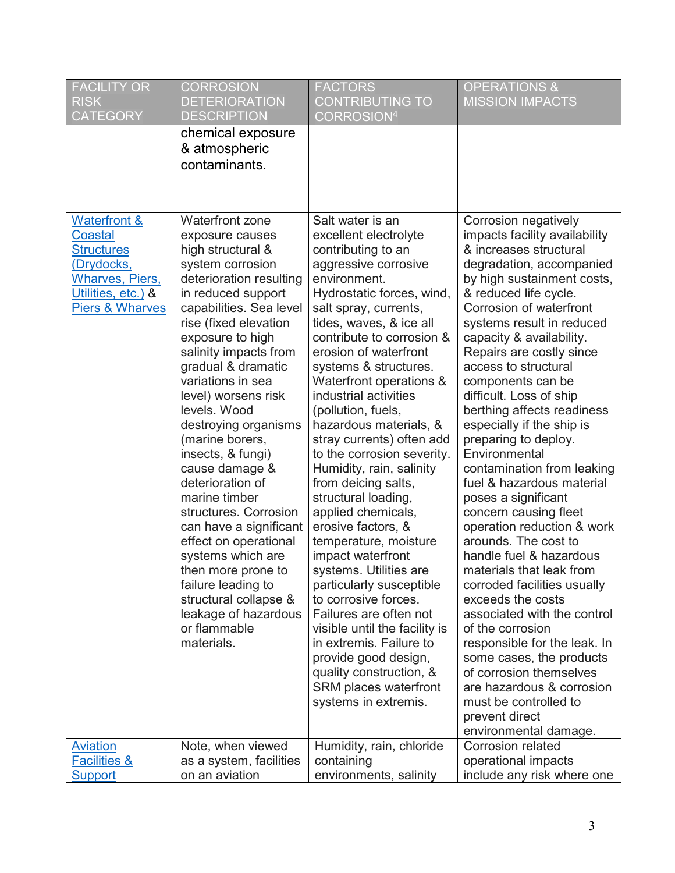| <b>FACILITY OR</b><br><b>RISK</b><br><b>CATEGORY</b>                                                                                                       | <b>CORROSION</b><br><b>DETERIORATION</b><br><b>DESCRIPTION</b>                                                                                                                                                                                                                                                                                                                                                                                                                                                                                                                                                                                                     | <b>FACTORS</b><br><b>CONTRIBUTING TO</b><br><b>CORROSION4</b>                                                                                                                                                                                                                                                                                                                                                                                                                                                                                                                                                                                                                                                                                                                                                                                                                      | <b>OPERATIONS &amp;</b><br><b>MISSION IMPACTS</b>                                                                                                                                                                                                                                                                                                                                                                                                                                                                                                                                                                                                                                                                                                                                                                                                                                                                                                                                     |
|------------------------------------------------------------------------------------------------------------------------------------------------------------|--------------------------------------------------------------------------------------------------------------------------------------------------------------------------------------------------------------------------------------------------------------------------------------------------------------------------------------------------------------------------------------------------------------------------------------------------------------------------------------------------------------------------------------------------------------------------------------------------------------------------------------------------------------------|------------------------------------------------------------------------------------------------------------------------------------------------------------------------------------------------------------------------------------------------------------------------------------------------------------------------------------------------------------------------------------------------------------------------------------------------------------------------------------------------------------------------------------------------------------------------------------------------------------------------------------------------------------------------------------------------------------------------------------------------------------------------------------------------------------------------------------------------------------------------------------|---------------------------------------------------------------------------------------------------------------------------------------------------------------------------------------------------------------------------------------------------------------------------------------------------------------------------------------------------------------------------------------------------------------------------------------------------------------------------------------------------------------------------------------------------------------------------------------------------------------------------------------------------------------------------------------------------------------------------------------------------------------------------------------------------------------------------------------------------------------------------------------------------------------------------------------------------------------------------------------|
|                                                                                                                                                            | chemical exposure<br>& atmospheric<br>contaminants.                                                                                                                                                                                                                                                                                                                                                                                                                                                                                                                                                                                                                |                                                                                                                                                                                                                                                                                                                                                                                                                                                                                                                                                                                                                                                                                                                                                                                                                                                                                    |                                                                                                                                                                                                                                                                                                                                                                                                                                                                                                                                                                                                                                                                                                                                                                                                                                                                                                                                                                                       |
| <b>Waterfront &amp;</b><br><b>Coastal</b><br><b>Structures</b><br>(Drydocks,<br><b>Wharves, Piers,</b><br>Utilities, etc.) &<br><b>Piers &amp; Wharves</b> | Waterfront zone<br>exposure causes<br>high structural &<br>system corrosion<br>deterioration resulting<br>in reduced support<br>capabilities. Sea level<br>rise (fixed elevation<br>exposure to high<br>salinity impacts from<br>gradual & dramatic<br>variations in sea<br>level) worsens risk<br>levels. Wood<br>destroying organisms<br>(marine borers,<br>insects, & fungi)<br>cause damage &<br>deterioration of<br>marine timber<br>structures. Corrosion<br>can have a significant<br>effect on operational<br>systems which are<br>then more prone to<br>failure leading to<br>structural collapse &<br>leakage of hazardous<br>or flammable<br>materials. | Salt water is an<br>excellent electrolyte<br>contributing to an<br>aggressive corrosive<br>environment.<br>Hydrostatic forces, wind,<br>salt spray, currents,<br>tides, waves, & ice all<br>contribute to corrosion &<br>erosion of waterfront<br>systems & structures.<br>Waterfront operations &<br>industrial activities<br>(pollution, fuels,<br>hazardous materials, &<br>stray currents) often add<br>to the corrosion severity.<br>Humidity, rain, salinity<br>from deicing salts,<br>structural loading,<br>applied chemicals,<br>erosive factors, &<br>temperature, moisture<br>impact waterfront<br>systems. Utilities are<br>particularly susceptible<br>to corrosive forces.<br>Failures are often not<br>visible until the facility is<br>in extremis. Failure to<br>provide good design,<br>quality construction, &<br>SRM places waterfront<br>systems in extremis. | Corrosion negatively<br>impacts facility availability<br>& increases structural<br>degradation, accompanied<br>by high sustainment costs,<br>& reduced life cycle.<br>Corrosion of waterfront<br>systems result in reduced<br>capacity & availability.<br>Repairs are costly since<br>access to structural<br>components can be<br>difficult. Loss of ship<br>berthing affects readiness<br>especially if the ship is<br>preparing to deploy.<br>Environmental<br>contamination from leaking<br>fuel & hazardous material<br>poses a significant<br>concern causing fleet<br>operation reduction & work<br>arounds. The cost to<br>handle fuel & hazardous<br>materials that leak from<br>corroded facilities usually<br>exceeds the costs<br>associated with the control<br>of the corrosion<br>responsible for the leak. In<br>some cases, the products<br>of corrosion themselves<br>are hazardous & corrosion<br>must be controlled to<br>prevent direct<br>environmental damage. |
| <b>Aviation</b>                                                                                                                                            | Note, when viewed                                                                                                                                                                                                                                                                                                                                                                                                                                                                                                                                                                                                                                                  | Humidity, rain, chloride                                                                                                                                                                                                                                                                                                                                                                                                                                                                                                                                                                                                                                                                                                                                                                                                                                                           | <b>Corrosion related</b>                                                                                                                                                                                                                                                                                                                                                                                                                                                                                                                                                                                                                                                                                                                                                                                                                                                                                                                                                              |
| <b>Facilities &amp;</b><br><b>Support</b>                                                                                                                  | as a system, facilities<br>on an aviation                                                                                                                                                                                                                                                                                                                                                                                                                                                                                                                                                                                                                          | containing<br>environments, salinity                                                                                                                                                                                                                                                                                                                                                                                                                                                                                                                                                                                                                                                                                                                                                                                                                                               | operational impacts<br>include any risk where one                                                                                                                                                                                                                                                                                                                                                                                                                                                                                                                                                                                                                                                                                                                                                                                                                                                                                                                                     |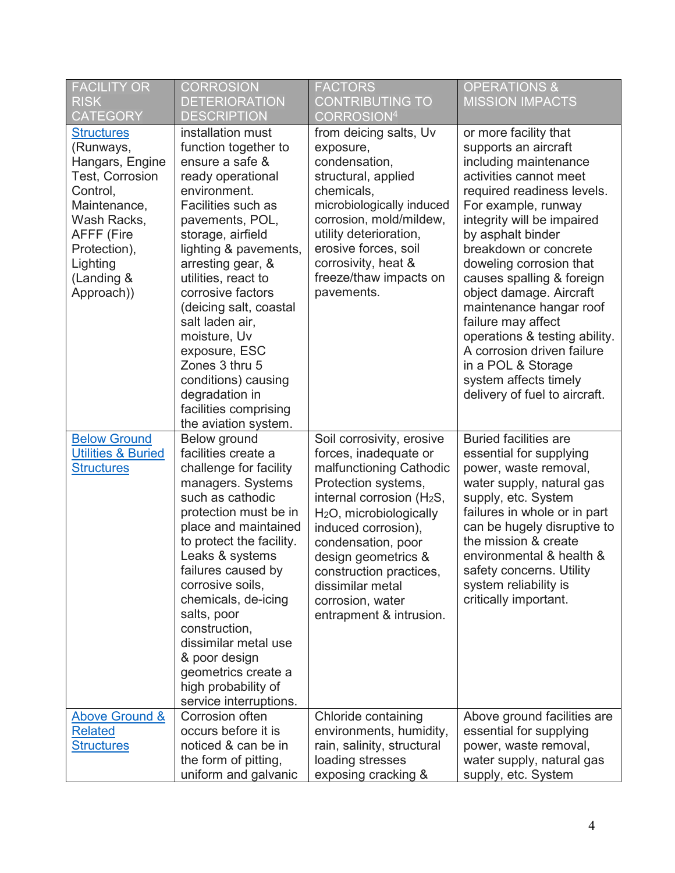| <b>FACILITY OR</b><br><b>RISK</b><br><b>CATEGORY</b>                                                                                                                                                | <b>CORROSION</b><br><b>DETERIORATION</b><br><b>DESCRIPTION</b>                                                                                                                                                                                                                                                                                                                                                                                      | <b>FACTORS</b><br><b>CONTRIBUTING TO</b><br>CORROSION <sup>4</sup>                                                                                                                                                                                                                                                                                     | <b>OPERATIONS &amp;</b><br><b>MISSION IMPACTS</b>                                                                                                                                                                                                                                                                                                                                                                                                                                                                    |
|-----------------------------------------------------------------------------------------------------------------------------------------------------------------------------------------------------|-----------------------------------------------------------------------------------------------------------------------------------------------------------------------------------------------------------------------------------------------------------------------------------------------------------------------------------------------------------------------------------------------------------------------------------------------------|--------------------------------------------------------------------------------------------------------------------------------------------------------------------------------------------------------------------------------------------------------------------------------------------------------------------------------------------------------|----------------------------------------------------------------------------------------------------------------------------------------------------------------------------------------------------------------------------------------------------------------------------------------------------------------------------------------------------------------------------------------------------------------------------------------------------------------------------------------------------------------------|
| <b>Structures</b><br>(Runways,<br>Hangars, Engine<br><b>Test, Corrosion</b><br>Control,<br>Maintenance,<br>Wash Racks,<br><b>AFFF (Fire</b><br>Protection),<br>Lighting<br>(Landing &<br>Approach)) | installation must<br>function together to<br>ensure a safe &<br>ready operational<br>environment.<br>Facilities such as<br>pavements, POL,<br>storage, airfield<br>lighting & pavements,<br>arresting gear, &<br>utilities, react to<br>corrosive factors<br>(deicing salt, coastal<br>salt laden air,<br>moisture, Uv<br>exposure, ESC<br>Zones 3 thru 5<br>conditions) causing<br>degradation in<br>facilities comprising<br>the aviation system. | from deicing salts, Uv<br>exposure,<br>condensation,<br>structural, applied<br>chemicals,<br>microbiologically induced<br>corrosion, mold/mildew,<br>utility deterioration,<br>erosive forces, soil<br>corrosivity, heat &<br>freeze/thaw impacts on<br>pavements.                                                                                     | or more facility that<br>supports an aircraft<br>including maintenance<br>activities cannot meet<br>required readiness levels.<br>For example, runway<br>integrity will be impaired<br>by asphalt binder<br>breakdown or concrete<br>doweling corrosion that<br>causes spalling & foreign<br>object damage. Aircraft<br>maintenance hangar roof<br>failure may affect<br>operations & testing ability.<br>A corrosion driven failure<br>in a POL & Storage<br>system affects timely<br>delivery of fuel to aircraft. |
| <b>Below Ground</b><br><b>Utilities &amp; Buried</b><br><b>Structures</b>                                                                                                                           | Below ground<br>facilities create a<br>challenge for facility<br>managers. Systems<br>such as cathodic<br>protection must be in<br>place and maintained<br>to protect the facility.<br>Leaks & systems<br>failures caused by<br>corrosive soils,<br>chemicals, de-icing<br>salts, poor<br>construction,<br>dissimilar metal use<br>& poor design<br>geometrics create a<br>high probability of<br>service interruptions.                            | Soil corrosivity, erosive<br>forces, inadequate or<br>malfunctioning Cathodic<br>Protection systems,<br>internal corrosion (H <sub>2</sub> S,<br>H <sub>2</sub> O, microbiologically<br>induced corrosion),<br>condensation, poor<br>design geometrics &<br>construction practices,<br>dissimilar metal<br>corrosion, water<br>entrapment & intrusion. | <b>Buried facilities are</b><br>essential for supplying<br>power, waste removal,<br>water supply, natural gas<br>supply, etc. System<br>failures in whole or in part<br>can be hugely disruptive to<br>the mission & create<br>environmental & health &<br>safety concerns. Utility<br>system reliability is<br>critically important.                                                                                                                                                                                |
| <b>Above Ground &amp;</b><br><b>Related</b><br><b>Structures</b>                                                                                                                                    | Corrosion often<br>occurs before it is<br>noticed & can be in<br>the form of pitting,                                                                                                                                                                                                                                                                                                                                                               | Chloride containing<br>environments, humidity,<br>rain, salinity, structural<br>loading stresses                                                                                                                                                                                                                                                       | Above ground facilities are<br>essential for supplying<br>power, waste removal,<br>water supply, natural gas                                                                                                                                                                                                                                                                                                                                                                                                         |
|                                                                                                                                                                                                     | uniform and galvanic                                                                                                                                                                                                                                                                                                                                                                                                                                | exposing cracking &                                                                                                                                                                                                                                                                                                                                    | supply, etc. System                                                                                                                                                                                                                                                                                                                                                                                                                                                                                                  |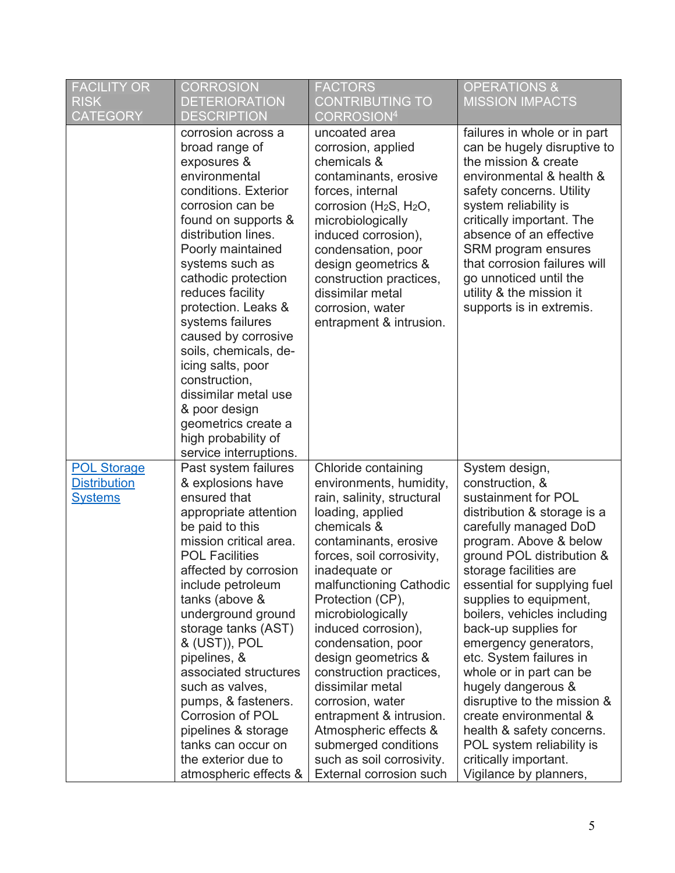| <b>FACILITY OR</b><br><b>RISK</b><br><b>CATEGORY</b>        | <b>CORROSION</b><br><b>DETERIORATION</b><br>DESCRIPTION                                                                                                                                                                                                                                                                                                                                                                                                                                             | <b>FACTORS</b><br><b>CONTRIBUTING TO</b><br>$\mathsf{CORROSION}^4$                                                                                                                                                                                                                                                                                                                                                                                                                                                                    | <b>OPERATIONS &amp;</b><br><b>MISSION IMPACTS</b>                                                                                                                                                                                                                                                                                                                                                                                                                                                                                                                                             |
|-------------------------------------------------------------|-----------------------------------------------------------------------------------------------------------------------------------------------------------------------------------------------------------------------------------------------------------------------------------------------------------------------------------------------------------------------------------------------------------------------------------------------------------------------------------------------------|---------------------------------------------------------------------------------------------------------------------------------------------------------------------------------------------------------------------------------------------------------------------------------------------------------------------------------------------------------------------------------------------------------------------------------------------------------------------------------------------------------------------------------------|-----------------------------------------------------------------------------------------------------------------------------------------------------------------------------------------------------------------------------------------------------------------------------------------------------------------------------------------------------------------------------------------------------------------------------------------------------------------------------------------------------------------------------------------------------------------------------------------------|
|                                                             | corrosion across a<br>broad range of<br>exposures &<br>environmental<br>conditions. Exterior<br>corrosion can be<br>found on supports &<br>distribution lines.<br>Poorly maintained<br>systems such as<br>cathodic protection<br>reduces facility<br>protection. Leaks &<br>systems failures<br>caused by corrosive<br>soils, chemicals, de-<br>icing salts, poor<br>construction,<br>dissimilar metal use<br>& poor design<br>geometrics create a<br>high probability of<br>service interruptions. | uncoated area<br>corrosion, applied<br>chemicals &<br>contaminants, erosive<br>forces, internal<br>corrosion (H <sub>2</sub> S, H <sub>2</sub> O,<br>microbiologically<br>induced corrosion),<br>condensation, poor<br>design geometrics &<br>construction practices,<br>dissimilar metal<br>corrosion, water<br>entrapment & intrusion.                                                                                                                                                                                              | failures in whole or in part<br>can be hugely disruptive to<br>the mission & create<br>environmental & health &<br>safety concerns. Utility<br>system reliability is<br>critically important. The<br>absence of an effective<br>SRM program ensures<br>that corrosion failures will<br>go unnoticed until the<br>utility & the mission it<br>supports is in extremis.                                                                                                                                                                                                                         |
| <b>POL Storage</b><br><b>Distribution</b><br><b>Systems</b> | Past system failures<br>& explosions have<br>ensured that<br>appropriate attention<br>be paid to this<br>mission critical area.<br><b>POL Facilities</b><br>affected by corrosion<br>include petroleum<br>tanks (above &<br>underground ground<br>storage tanks (AST)<br>& (UST)), POL<br>pipelines, &<br>associated structures<br>such as valves,<br>pumps, & fasteners.<br>Corrosion of POL<br>pipelines & storage<br>tanks can occur on<br>the exterior due to<br>atmospheric effects &          | Chloride containing<br>environments, humidity,<br>rain, salinity, structural<br>loading, applied<br>chemicals &<br>contaminants, erosive<br>forces, soil corrosivity,<br>inadequate or<br>malfunctioning Cathodic<br>Protection (CP),<br>microbiologically<br>induced corrosion),<br>condensation, poor<br>design geometrics &<br>construction practices,<br>dissimilar metal<br>corrosion, water<br>entrapment & intrusion.<br>Atmospheric effects &<br>submerged conditions<br>such as soil corrosivity.<br>External corrosion such | System design,<br>construction, &<br>sustainment for POL<br>distribution & storage is a<br>carefully managed DoD<br>program. Above & below<br>ground POL distribution &<br>storage facilities are<br>essential for supplying fuel<br>supplies to equipment,<br>boilers, vehicles including<br>back-up supplies for<br>emergency generators,<br>etc. System failures in<br>whole or in part can be<br>hugely dangerous &<br>disruptive to the mission &<br>create environmental &<br>health & safety concerns.<br>POL system reliability is<br>critically important.<br>Vigilance by planners, |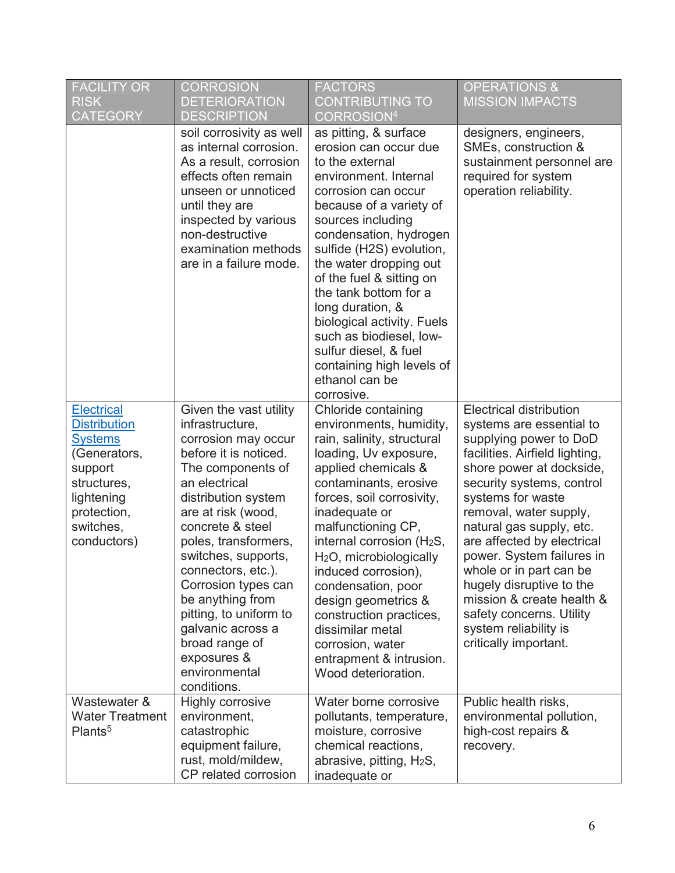| <b>FACILITY OR</b><br><b>RISK</b><br><b>CATEGORY</b>                                                                                                          | <b>CORROSION</b><br><b>DETERIORATION</b><br><b>DESCRIPTION</b>                                                                                                                                                                                                                                                                                                                                                                   | <b>FACTORS</b><br><b>CONTRIBUTING TO</b><br>CORROSION <sup>4</sup>                                                                                                                                                                                                                                                                                                                                                                                                                                 | <b>OPERATIONS &amp;</b><br><b>MISSION IMPACTS</b>                                                                                                                                                                                                                                                                                                                                                                                                                                       |
|---------------------------------------------------------------------------------------------------------------------------------------------------------------|----------------------------------------------------------------------------------------------------------------------------------------------------------------------------------------------------------------------------------------------------------------------------------------------------------------------------------------------------------------------------------------------------------------------------------|----------------------------------------------------------------------------------------------------------------------------------------------------------------------------------------------------------------------------------------------------------------------------------------------------------------------------------------------------------------------------------------------------------------------------------------------------------------------------------------------------|-----------------------------------------------------------------------------------------------------------------------------------------------------------------------------------------------------------------------------------------------------------------------------------------------------------------------------------------------------------------------------------------------------------------------------------------------------------------------------------------|
|                                                                                                                                                               | soil corrosivity as well<br>as internal corrosion.<br>As a result, corrosion<br>effects often remain<br>unseen or unnoticed<br>until they are<br>inspected by various<br>non-destructive<br>examination methods<br>are in a failure mode.                                                                                                                                                                                        | as pitting, & surface<br>erosion can occur due<br>to the external<br>environment. Internal<br>corrosion can occur<br>because of a variety of<br>sources including<br>condensation, hydrogen<br>sulfide (H2S) evolution,<br>the water dropping out<br>of the fuel & sitting on<br>the tank bottom for a<br>long duration, &<br>biological activity. Fuels<br>such as biodiesel, low-<br>sulfur diesel, & fuel<br>containing high levels of<br>ethanol can be<br>corrosive.                          | designers, engineers,<br>SMEs, construction &<br>sustainment personnel are<br>required for system<br>operation reliability.                                                                                                                                                                                                                                                                                                                                                             |
| <b>Electrical</b><br><b>Distribution</b><br><b>Systems</b><br>(Generators,<br>support<br>structures,<br>lightening<br>protection,<br>switches,<br>conductors) | Given the vast utility<br>infrastructure,<br>corrosion may occur<br>before it is noticed.<br>The components of<br>an electrical<br>distribution system<br>are at risk (wood,<br>concrete & steel<br>poles, transformers,<br>switches, supports,<br>connectors, etc.).<br>Corrosion types can<br>be anything from<br>pitting, to uniform to<br>galvanic across a<br>broad range of<br>exposures &<br>environmental<br>conditions. | Chloride containing<br>environments, humidity,<br>rain, salinity, structural<br>loading, Uv exposure,<br>applied chemicals &<br>contaminants, erosive<br>forces, soil corrosivity,<br>inadequate or<br>malfunctioning CP,<br>internal corrosion (H <sub>2</sub> S,<br>H <sub>2</sub> O, microbiologically<br>induced corrosion),<br>condensation, poor<br>design geometrics &<br>construction practices,<br>dissimilar metal<br>corrosion, water<br>entrapment & intrusion.<br>Wood deterioration. | <b>Electrical distribution</b><br>systems are essential to<br>supplying power to DoD<br>facilities. Airfield lighting,<br>shore power at dockside,<br>security systems, control<br>systems for waste<br>removal, water supply,<br>natural gas supply, etc.<br>are affected by electrical<br>power. System failures in<br>whole or in part can be<br>hugely disruptive to the<br>mission & create health &<br>safety concerns. Utility<br>system reliability is<br>critically important. |
| Wastewater &<br><b>Water Treatment</b><br>Plants <sup>5</sup>                                                                                                 | Highly corrosive<br>environment.<br>catastrophic<br>equipment failure,<br>rust, mold/mildew,<br>CP related corrosion                                                                                                                                                                                                                                                                                                             | Water borne corrosive<br>pollutants, temperature,<br>moisture, corrosive<br>chemical reactions,<br>abrasive, pitting, H <sub>2</sub> S,<br>inadequate or                                                                                                                                                                                                                                                                                                                                           | Public health risks,<br>environmental pollution,<br>high-cost repairs &<br>recovery.                                                                                                                                                                                                                                                                                                                                                                                                    |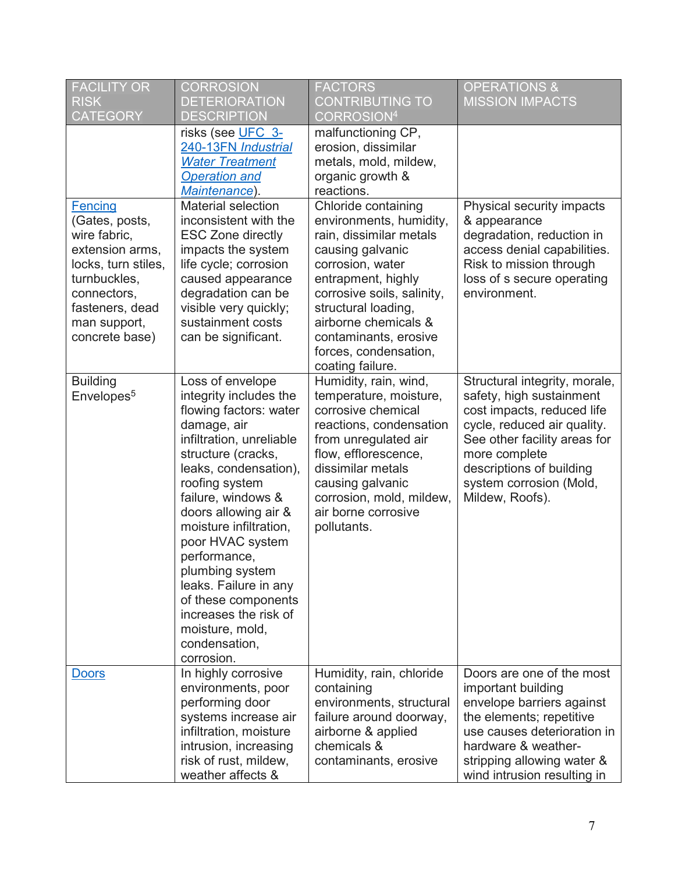| <b>FACILITY OR</b><br><b>RISK</b><br><b>CATEGORY</b>                                                                                                                           | <b>CORROSION</b><br><b>DETERIORATION</b><br><b>DESCRIPTION</b>                                                                                                                                                                                                                                                                                                                                                                             | <b>FACTORS</b><br><b>CONTRIBUTING TO</b><br>CORROSION <sup>4</sup>                                                                                                                                                                                                                         | <b>OPERATIONS &amp;</b><br><b>MISSION IMPACTS</b>                                                                                                                                                                                                 |
|--------------------------------------------------------------------------------------------------------------------------------------------------------------------------------|--------------------------------------------------------------------------------------------------------------------------------------------------------------------------------------------------------------------------------------------------------------------------------------------------------------------------------------------------------------------------------------------------------------------------------------------|--------------------------------------------------------------------------------------------------------------------------------------------------------------------------------------------------------------------------------------------------------------------------------------------|---------------------------------------------------------------------------------------------------------------------------------------------------------------------------------------------------------------------------------------------------|
|                                                                                                                                                                                | risks (see UFC 3-<br>240-13FN Industrial<br><b>Water Treatment</b><br><b>Operation and</b><br>Maintenance).                                                                                                                                                                                                                                                                                                                                | malfunctioning CP,<br>erosion, dissimilar<br>metals, mold, mildew,<br>organic growth &<br>reactions.                                                                                                                                                                                       |                                                                                                                                                                                                                                                   |
| <b>Fencing</b><br>(Gates, posts,<br>wire fabric,<br>extension arms,<br>locks, turn stiles,<br>turnbuckles,<br>connectors,<br>fasteners, dead<br>man support,<br>concrete base) | Material selection<br>inconsistent with the<br><b>ESC Zone directly</b><br>impacts the system<br>life cycle; corrosion<br>caused appearance<br>degradation can be<br>visible very quickly;<br>sustainment costs<br>can be significant.                                                                                                                                                                                                     | Chloride containing<br>environments, humidity,<br>rain, dissimilar metals<br>causing galvanic<br>corrosion, water<br>entrapment, highly<br>corrosive soils, salinity,<br>structural loading,<br>airborne chemicals &<br>contaminants, erosive<br>forces, condensation,<br>coating failure. | Physical security impacts<br>& appearance<br>degradation, reduction in<br>access denial capabilities.<br>Risk to mission through<br>loss of s secure operating<br>environment.                                                                    |
| <b>Building</b><br>Envelopes <sup>5</sup>                                                                                                                                      | Loss of envelope<br>integrity includes the<br>flowing factors: water<br>damage, air<br>infiltration, unreliable<br>structure (cracks,<br>leaks, condensation),<br>roofing system<br>failure, windows &<br>doors allowing air &<br>moisture infiltration,<br>poor HVAC system<br>performance,<br>plumbing system<br>leaks. Failure in any<br>of these components<br>increases the risk of<br>moisture, mold,<br>condensation,<br>corrosion. | Humidity, rain, wind,<br>temperature, moisture,<br>corrosive chemical<br>reactions, condensation<br>from unregulated air<br>flow, efflorescence,<br>dissimilar metals<br>causing galvanic<br>corrosion, mold, mildew,<br>air borne corrosive<br>pollutants.                                | Structural integrity, morale,<br>safety, high sustainment<br>cost impacts, reduced life<br>cycle, reduced air quality.<br>See other facility areas for<br>more complete<br>descriptions of building<br>system corrosion (Mold,<br>Mildew, Roofs). |
| <b>Doors</b>                                                                                                                                                                   | In highly corrosive<br>environments, poor<br>performing door<br>systems increase air<br>infiltration, moisture<br>intrusion, increasing<br>risk of rust, mildew,<br>weather affects &                                                                                                                                                                                                                                                      | Humidity, rain, chloride<br>containing<br>environments, structural<br>failure around doorway,<br>airborne & applied<br>chemicals &<br>contaminants, erosive                                                                                                                                | Doors are one of the most<br>important building<br>envelope barriers against<br>the elements; repetitive<br>use causes deterioration in<br>hardware & weather-<br>stripping allowing water &<br>wind intrusion resulting in                       |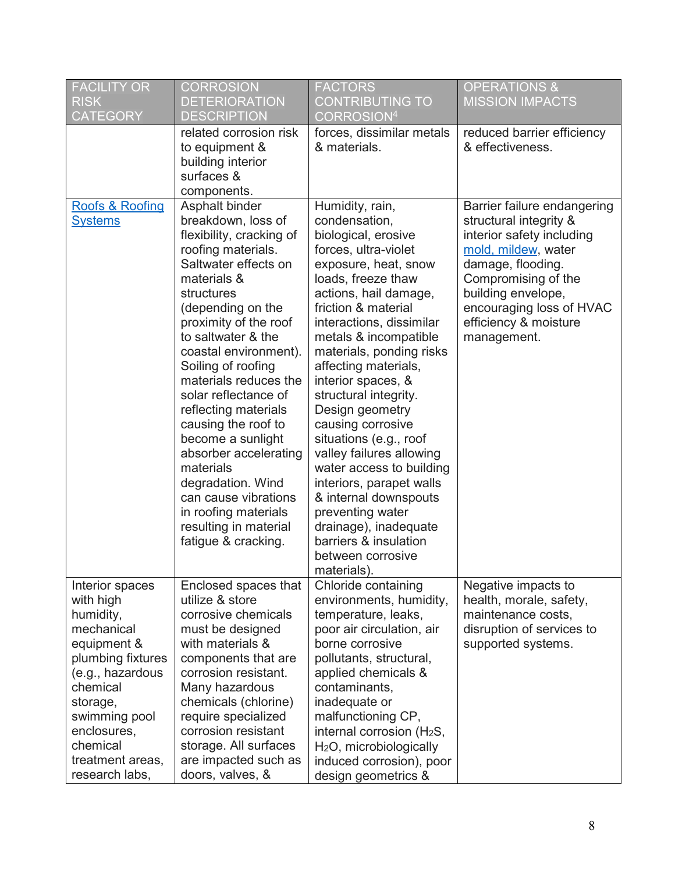| <b>FACILITY OR</b><br><b>RISK</b><br><b>CATEGORY</b>                                                                                                                                                                      | <b>CORROSION</b><br><b>DETERIORATION</b><br><b>DESCRIPTION</b>                                                                                                                                                                                                                                                                                                                                                                                                                                                                                 | <b>FACTORS</b><br><b>CONTRIBUTING TO</b><br>CORROSION <sup>4</sup>                                                                                                                                                                                                                                                                                                                                                                                                                                                                                                                                                             | <b>OPERATIONS &amp;</b><br><b>MISSION IMPACTS</b>                                                                                                                                                                                               |
|---------------------------------------------------------------------------------------------------------------------------------------------------------------------------------------------------------------------------|------------------------------------------------------------------------------------------------------------------------------------------------------------------------------------------------------------------------------------------------------------------------------------------------------------------------------------------------------------------------------------------------------------------------------------------------------------------------------------------------------------------------------------------------|--------------------------------------------------------------------------------------------------------------------------------------------------------------------------------------------------------------------------------------------------------------------------------------------------------------------------------------------------------------------------------------------------------------------------------------------------------------------------------------------------------------------------------------------------------------------------------------------------------------------------------|-------------------------------------------------------------------------------------------------------------------------------------------------------------------------------------------------------------------------------------------------|
|                                                                                                                                                                                                                           | related corrosion risk<br>to equipment &<br>building interior<br>surfaces &<br>components.                                                                                                                                                                                                                                                                                                                                                                                                                                                     | forces, dissimilar metals<br>& materials.                                                                                                                                                                                                                                                                                                                                                                                                                                                                                                                                                                                      | reduced barrier efficiency<br>& effectiveness.                                                                                                                                                                                                  |
| Roofs & Roofing<br><b>Systems</b>                                                                                                                                                                                         | Asphalt binder<br>breakdown, loss of<br>flexibility, cracking of<br>roofing materials.<br>Saltwater effects on<br>materials &<br>structures<br>(depending on the<br>proximity of the roof<br>to saltwater & the<br>coastal environment).<br>Soiling of roofing<br>materials reduces the<br>solar reflectance of<br>reflecting materials<br>causing the roof to<br>become a sunlight<br>absorber accelerating<br>materials<br>degradation. Wind<br>can cause vibrations<br>in roofing materials<br>resulting in material<br>fatigue & cracking. | Humidity, rain,<br>condensation,<br>biological, erosive<br>forces, ultra-violet<br>exposure, heat, snow<br>loads, freeze thaw<br>actions, hail damage,<br>friction & material<br>interactions, dissimilar<br>metals & incompatible<br>materials, ponding risks<br>affecting materials,<br>interior spaces, &<br>structural integrity.<br>Design geometry<br>causing corrosive<br>situations (e.g., roof<br>valley failures allowing<br>water access to building<br>interiors, parapet walls<br>& internal downspouts<br>preventing water<br>drainage), inadequate<br>barriers & insulation<br>between corrosive<br>materials). | Barrier failure endangering<br>structural integrity &<br>interior safety including<br>mold, mildew, water<br>damage, flooding.<br>Compromising of the<br>building envelope,<br>encouraging loss of HVAC<br>efficiency & moisture<br>management. |
| Interior spaces<br>with high<br>humidity,<br>mechanical<br>equipment &<br>plumbing fixtures<br>(e.g., hazardous<br>chemical<br>storage,<br>swimming pool<br>enclosures,<br>chemical<br>treatment areas,<br>research labs, | Enclosed spaces that<br>utilize & store<br>corrosive chemicals<br>must be designed<br>with materials &<br>components that are<br>corrosion resistant.<br>Many hazardous<br>chemicals (chlorine)<br>require specialized<br>corrosion resistant<br>storage. All surfaces<br>are impacted such as<br>doors, valves, &                                                                                                                                                                                                                             | Chloride containing<br>environments, humidity,<br>temperature, leaks,<br>poor air circulation, air<br>borne corrosive<br>pollutants, structural,<br>applied chemicals &<br>contaminants,<br>inadequate or<br>malfunctioning CP,<br>internal corrosion (H <sub>2</sub> S,<br>H <sub>2</sub> O, microbiologically<br>induced corrosion), poor<br>design geometrics &                                                                                                                                                                                                                                                             | Negative impacts to<br>health, morale, safety,<br>maintenance costs,<br>disruption of services to<br>supported systems.                                                                                                                         |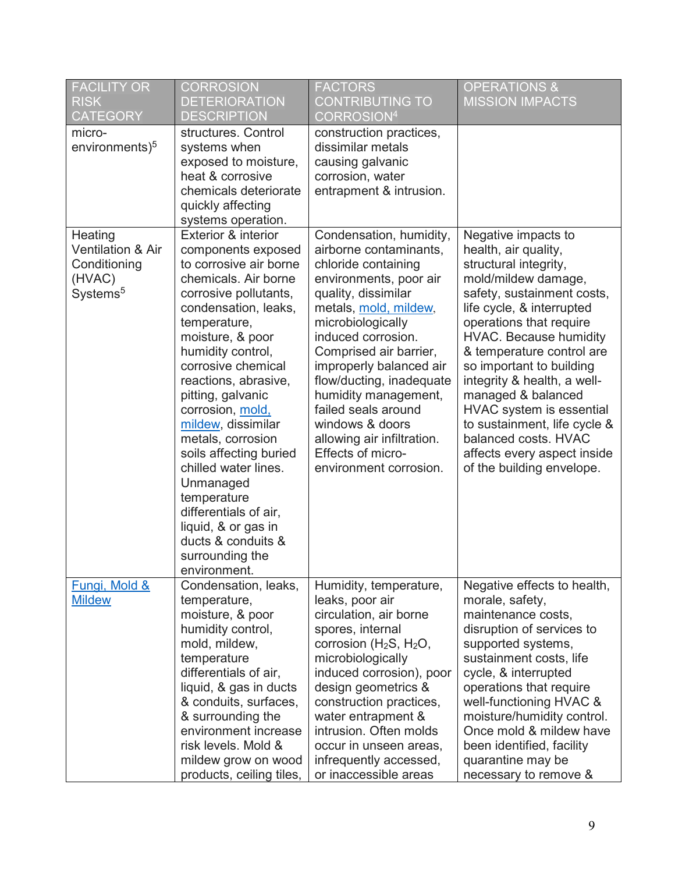| <b>FACILITY OR</b><br><b>RISK</b><br><b>CATEGORY</b>                                      | <b>CORROSION</b><br><b>DETERIORATION</b><br><b>DESCRIPTION</b>                                                                                                                                                                                                                                                                                                                                                                                                                                                                 | <b>FACTORS</b><br><b>CONTRIBUTING TO</b><br>CORROSION <sup>4</sup>                                                                                                                                                                                                                                                                                                                                                            | <b>OPERATIONS &amp;</b><br><b>MISSION IMPACTS</b>                                                                                                                                                                                                                                                                                                                                                                                                                                |
|-------------------------------------------------------------------------------------------|--------------------------------------------------------------------------------------------------------------------------------------------------------------------------------------------------------------------------------------------------------------------------------------------------------------------------------------------------------------------------------------------------------------------------------------------------------------------------------------------------------------------------------|-------------------------------------------------------------------------------------------------------------------------------------------------------------------------------------------------------------------------------------------------------------------------------------------------------------------------------------------------------------------------------------------------------------------------------|----------------------------------------------------------------------------------------------------------------------------------------------------------------------------------------------------------------------------------------------------------------------------------------------------------------------------------------------------------------------------------------------------------------------------------------------------------------------------------|
| micro-<br>environments) <sup>5</sup>                                                      | structures. Control<br>systems when<br>exposed to moisture,<br>heat & corrosive<br>chemicals deteriorate<br>quickly affecting<br>systems operation.                                                                                                                                                                                                                                                                                                                                                                            | construction practices,<br>dissimilar metals<br>causing galvanic<br>corrosion, water<br>entrapment & intrusion.                                                                                                                                                                                                                                                                                                               |                                                                                                                                                                                                                                                                                                                                                                                                                                                                                  |
| Heating<br><b>Ventilation &amp; Air</b><br>Conditioning<br>(HVAC)<br>Systems <sup>5</sup> | Exterior & interior<br>components exposed<br>to corrosive air borne<br>chemicals. Air borne<br>corrosive pollutants,<br>condensation, leaks,<br>temperature,<br>moisture, & poor<br>humidity control,<br>corrosive chemical<br>reactions, abrasive,<br>pitting, galvanic<br>corrosion, mold,<br>mildew, dissimilar<br>metals, corrosion<br>soils affecting buried<br>chilled water lines.<br>Unmanaged<br>temperature<br>differentials of air,<br>liquid, & or gas in<br>ducts & conduits &<br>surrounding the<br>environment. | Condensation, humidity,<br>airborne contaminants,<br>chloride containing<br>environments, poor air<br>quality, dissimilar<br>metals, mold, mildew,<br>microbiologically<br>induced corrosion.<br>Comprised air barrier,<br>improperly balanced air<br>flow/ducting, inadequate<br>humidity management,<br>failed seals around<br>windows & doors<br>allowing air infiltration.<br>Effects of micro-<br>environment corrosion. | Negative impacts to<br>health, air quality,<br>structural integrity,<br>mold/mildew damage,<br>safety, sustainment costs,<br>life cycle, & interrupted<br>operations that require<br><b>HVAC. Because humidity</b><br>& temperature control are<br>so important to building<br>integrity & health, a well-<br>managed & balanced<br>HVAC system is essential<br>to sustainment, life cycle &<br>balanced costs. HVAC<br>affects every aspect inside<br>of the building envelope. |
| Fungi, Mold &<br><b>Mildew</b>                                                            | Condensation, leaks,<br>temperature,<br>moisture, & poor<br>humidity control,<br>mold, mildew,<br>temperature<br>differentials of air,<br>liquid, & gas in ducts<br>& conduits, surfaces,<br>& surrounding the<br>environment increase<br>risk levels. Mold &<br>mildew grow on wood<br>products, ceiling tiles,                                                                                                                                                                                                               | Humidity, temperature,<br>leaks, poor air<br>circulation, air borne<br>spores, internal<br>corrosion ( $H_2S$ , $H_2O$ ,<br>microbiologically<br>induced corrosion), poor<br>design geometrics &<br>construction practices,<br>water entrapment &<br>intrusion. Often molds<br>occur in unseen areas,<br>infrequently accessed,<br>or inaccessible areas                                                                      | Negative effects to health,<br>morale, safety,<br>maintenance costs,<br>disruption of services to<br>supported systems,<br>sustainment costs, life<br>cycle, & interrupted<br>operations that require<br>well-functioning HVAC &<br>moisture/humidity control.<br>Once mold & mildew have<br>been identified, facility<br>quarantine may be<br>necessary to remove &                                                                                                             |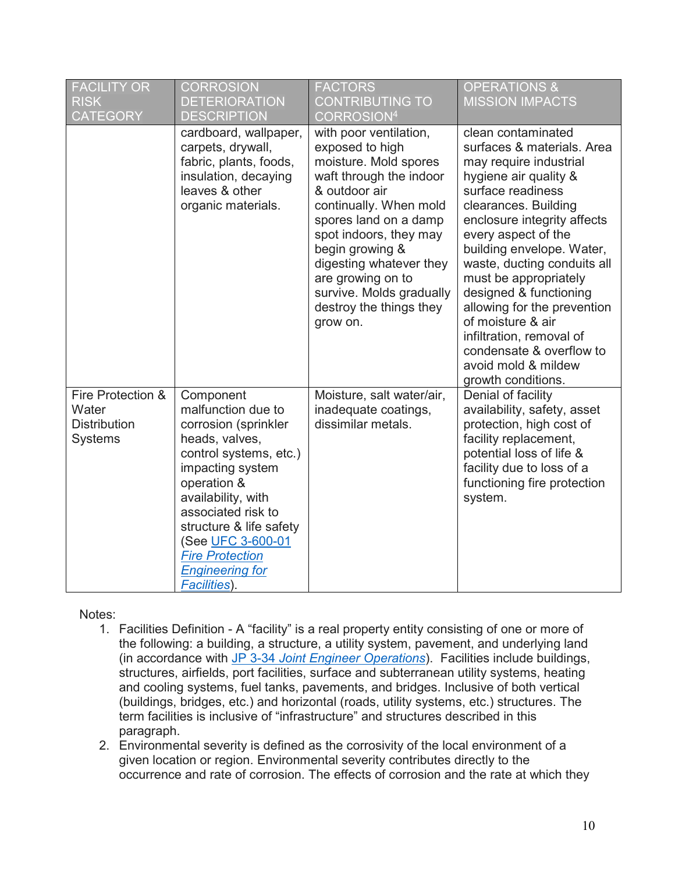| <b>FACILITY OR</b><br><b>RISK</b><br><b>CATEGORY</b>         | <b>CORROSION</b><br><b>DETERIORATION</b><br><b>DESCRIPTION</b>                                                                                                                                                                                                                                         | <b>FACTORS</b><br><b>CONTRIBUTING TO</b><br>CORROSION <sup>4</sup>                                                                                                                                                                                                                                                                | <b>OPERATIONS &amp;</b><br><b>MISSION IMPACTS</b>                                                                                                                                                                                                                                                                                                                                                                                                                              |
|--------------------------------------------------------------|--------------------------------------------------------------------------------------------------------------------------------------------------------------------------------------------------------------------------------------------------------------------------------------------------------|-----------------------------------------------------------------------------------------------------------------------------------------------------------------------------------------------------------------------------------------------------------------------------------------------------------------------------------|--------------------------------------------------------------------------------------------------------------------------------------------------------------------------------------------------------------------------------------------------------------------------------------------------------------------------------------------------------------------------------------------------------------------------------------------------------------------------------|
|                                                              | cardboard, wallpaper,<br>carpets, drywall,<br>fabric, plants, foods,<br>insulation, decaying<br>leaves & other<br>organic materials.                                                                                                                                                                   | with poor ventilation,<br>exposed to high<br>moisture. Mold spores<br>waft through the indoor<br>& outdoor air<br>continually. When mold<br>spores land on a damp<br>spot indoors, they may<br>begin growing &<br>digesting whatever they<br>are growing on to<br>survive. Molds gradually<br>destroy the things they<br>grow on. | clean contaminated<br>surfaces & materials. Area<br>may require industrial<br>hygiene air quality &<br>surface readiness<br>clearances. Building<br>enclosure integrity affects<br>every aspect of the<br>building envelope. Water,<br>waste, ducting conduits all<br>must be appropriately<br>designed & functioning<br>allowing for the prevention<br>of moisture & air<br>infiltration, removal of<br>condensate & overflow to<br>avoid mold & mildew<br>growth conditions. |
| Fire Protection &<br>Water<br><b>Distribution</b><br>Systems | Component<br>malfunction due to<br>corrosion (sprinkler<br>heads, valves,<br>control systems, etc.)<br>impacting system<br>operation &<br>availability, with<br>associated risk to<br>structure & life safety<br>(See UFC 3-600-01<br><b>Fire Protection</b><br><b>Engineering for</b><br>Facilities). | Moisture, salt water/air,<br>inadequate coatings,<br>dissimilar metals.                                                                                                                                                                                                                                                           | Denial of facility<br>availability, safety, asset<br>protection, high cost of<br>facility replacement,<br>potential loss of life &<br>facility due to loss of a<br>functioning fire protection<br>system.                                                                                                                                                                                                                                                                      |

## Notes:

- 1. Facilities Definition A "facility" is a real property entity consisting of one or more of the following: a building, a structure, a utility system, pavement, and underlying land (in accordance with JP 3-34 *[Joint Engineer Operations](https://www.jcs.mil/Portals/36/Documents/Doctrine/pubs/jp3_34.pdf)*). Facilities include buildings, structures, airfields, port facilities, surface and subterranean utility systems, heating and cooling systems, fuel tanks, pavements, and bridges. Inclusive of both vertical (buildings, bridges, etc.) and horizontal (roads, utility systems, etc.) structures. The term facilities is inclusive of "infrastructure" and structures described in this paragraph.
- 2. Environmental severity is defined as the corrosivity of the local environment of a given location or region. Environmental severity contributes directly to the occurrence and rate of corrosion. The effects of corrosion and the rate at which they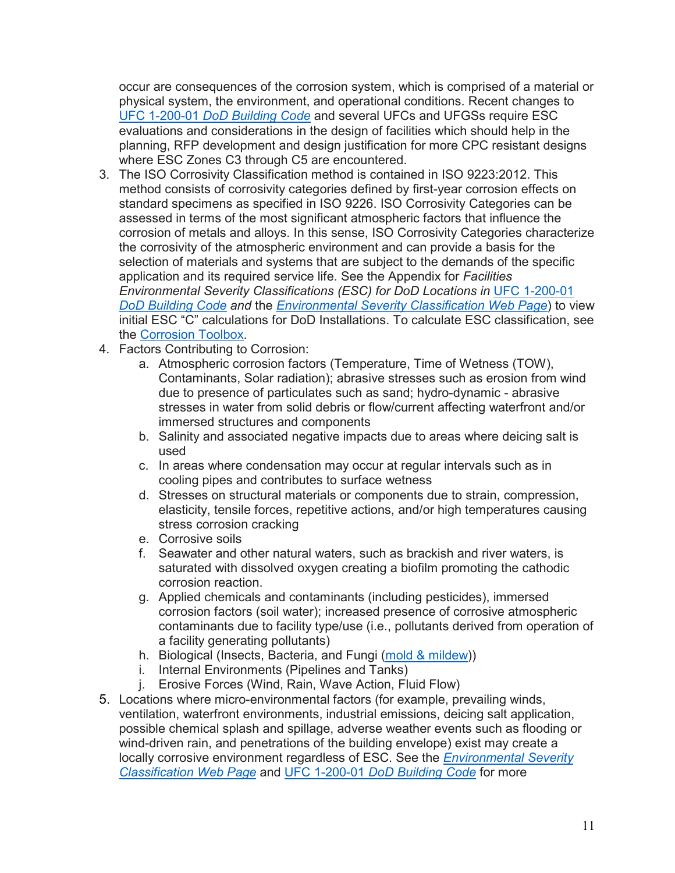occur are consequences of the corrosion system, which is comprised of a material or physical system, the environment, and operational conditions. Recent changes to UFC 1-200-01 *[DoD Building Code](https://www.wbdg.org/ffc/dod/unified-facilities-criteria-ufc/ufc-1-200-01)* and several UFCs and UFGSs require ESC evaluations and considerations in the design of facilities which should help in the planning, RFP development and design justification for more CPC resistant designs where ESC Zones C3 through C5 are encountered.

- 3. The ISO Corrosivity Classification method is contained in ISO 9223:2012. This method consists of corrosivity categories defined by first-year corrosion effects on standard specimens as specified in ISO 9226. ISO Corrosivity Categories can be assessed in terms of the most significant atmospheric factors that influence the corrosion of metals and alloys. In this sense, ISO Corrosivity Categories characterize the corrosivity of the atmospheric environment and can provide a basis for the selection of materials and systems that are subject to the demands of the specific application and its required service life. See the Appendix for *Facilities Environmental Severity Classifications (ESC) for DoD Locations in* [UFC 1-200-01](https://www.wbdg.org/ffc/dod/unified-facilities-criteria-ufc/ufc-1-200-01) *[DoD Building Code](https://www.wbdg.org/ffc/dod/unified-facilities-criteria-ufc/ufc-1-200-01) and* the *[Environmental Severity Classification Web Page](https://www.wbdg.org/ffc/dod/cpc-source/environmental-severity-classification)*) to view initial ESC "C" calculations for DoD Installations. To calculate ESC classification, see the [Corrosion Toolbox.](https://www.wbdg.org/additional-resources/tools/corrosion-toolbox)
- 4. Factors Contributing to Corrosion:
	- a. Atmospheric corrosion factors (Temperature, Time of Wetness (TOW), Contaminants, Solar radiation); abrasive stresses such as erosion from wind due to presence of particulates such as sand; hydro-dynamic - abrasive stresses in water from solid debris or flow/current affecting waterfront and/or immersed structures and components
	- b. Salinity and associated negative impacts due to areas where deicing salt is used
	- c. In areas where condensation may occur at regular intervals such as in cooling pipes and contributes to surface wetness
	- d. Stresses on structural materials or components due to strain, compression, elasticity, tensile forces, repetitive actions, and/or high temperatures causing stress corrosion cracking
	- e. Corrosive soils
	- f. Seawater and other natural waters, such as brackish and river waters, is saturated with dissolved oxygen creating a biofilm promoting the cathodic corrosion reaction.
	- g. Applied chemicals and contaminants (including pesticides), immersed corrosion factors (soil water); increased presence of corrosive atmospheric contaminants due to facility type/use (i.e., pollutants derived from operation of a facility generating pollutants)
	- h. Biological (Insects, Bacteria, and Fungi [\(mold & mildew\)](https://www.wbdg.org/ffc/dod/cpc-source/fungi-mold-mildew-knowledge-area))
	- i. Internal Environments (Pipelines and Tanks)
	- j. Erosive Forces (Wind, Rain, Wave Action, Fluid Flow)
- 5. Locations where micro-environmental factors (for example, prevailing winds, ventilation, waterfront environments, industrial emissions, deicing salt application, possible chemical splash and spillage, adverse weather events such as flooding or wind-driven rain, and penetrations of the building envelope) exist may create a locally corrosive environment regardless of ESC. See the *[Environmental Severity](https://www.wbdg.org/ffc/dod/cpc-source/environmental-severity-classification)  [Classification Web Page](https://www.wbdg.org/ffc/dod/cpc-source/environmental-severity-classification)* and UFC 1-200-01 *[DoD Building Code](https://www.wbdg.org/ffc/dod/unified-facilities-criteria-ufc/ufc-1-200-01)* for more